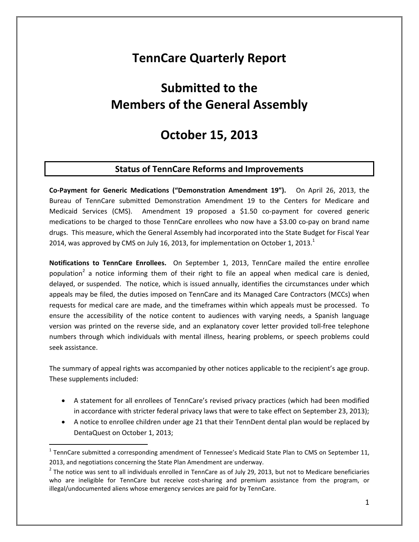## **TennCare Quarterly Report**

# **Submitted to the Members of the General Assembly**

## **October 15, 2013**

### **Status of TennCare Reforms and Improvements**

**Co‐Payment for Generic Medications ("Demonstration Amendment 19").**  On April 26, 2013, the Bureau of TennCare submitted Demonstration Amendment 19 to the Centers for Medicare and Medicaid Services (CMS). Amendment 19 proposed a \$1.50 co-payment for covered generic medications to be charged to those TennCare enrollees who now have a \$3.00 co-pay on brand name drugs. This measure, which the General Assembly had incorporated into the State Budget for Fiscal Year 2014, was approved by CMS on July 16, 2013, for implementation on October 1, 2013. $<sup>1</sup>$ </sup>

**Notifications to TennCare Enrollees.** On September 1, 2013, TennCare mailed the entire enrollee population<sup>2</sup> a notice informing them of their right to file an appeal when medical care is denied, delayed, or suspended. The notice, which is issued annually, identifies the circumstances under which appeals may be filed, the duties imposed on TennCare and its Managed Care Contractors (MCCs) when requests for medical care are made, and the timeframes within which appeals must be processed. To ensure the accessibility of the notice content to audiences with varying needs, a Spanish language version was printed on the reverse side, and an explanatory cover letter provided toll‐free telephone numbers through which individuals with mental illness, hearing problems, or speech problems could seek assistance.

The summary of appeal rights was accompanied by other notices applicable to the recipient's age group. These supplements included:

- A statement for all enrollees of TennCare's revised privacy practices (which had been modified in accordance with stricter federal privacy laws that were to take effect on September 23, 2013);
- A notice to enrollee children under age 21 that their TennDent dental plan would be replaced by DentaQuest on October 1, 2013;

 $1$  TennCare submitted a corresponding amendment of Tennessee's Medicaid State Plan to CMS on September 11, 2013, and negotiations concerning the State Plan Amendment are underway.

 $2$  The notice was sent to all individuals enrolled in TennCare as of July 29, 2013, but not to Medicare beneficiaries who are ineligible for TennCare but receive cost-sharing and premium assistance from the program, or illegal/undocumented aliens whose emergency services are paid for by TennCare.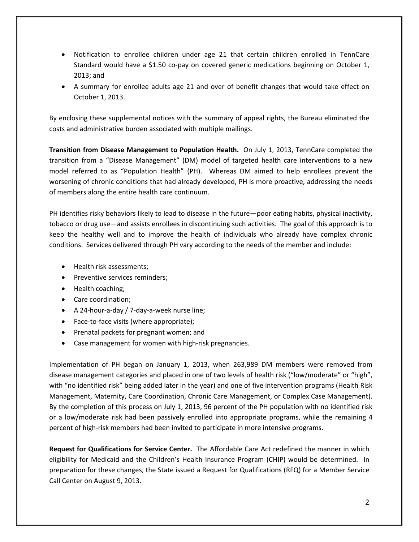- Notification to enrollee children under age 21 that certain children enrolled in TennCare Standard would have a \$1.50 co‐pay on covered generic medications beginning on October 1, 2013; and
- A summary for enrollee adults age 21 and over of benefit changes that would take effect on October 1, 2013.

By enclosing these supplemental notices with the summary of appeal rights, the Bureau eliminated the costs and administrative burden associated with multiple mailings.

**Transition from Disease Management to Population Health.** On July 1, 2013, TennCare completed the transition from a "Disease Management" (DM) model of targeted health care interventions to a new model referred to as "Population Health" (PH). Whereas DM aimed to help enrollees prevent the worsening of chronic conditions that had already developed, PH is more proactive, addressing the needs of members along the entire health care continuum.

PH identifies risky behaviors likely to lead to disease in the future—poor eating habits, physical inactivity, tobacco or drug use—and assists enrollees in discontinuing such activities. The goal of this approach is to keep the healthy well and to improve the health of individuals who already have complex chronic conditions. Services delivered through PH vary according to the needs of the member and include:

- Health risk assessments;
- Preventive services reminders;
- Health coaching;
- Care coordination;
- A 24‐hour‐a‐day / 7‐day‐a‐week nurse line;
- Face-to-face visits (where appropriate);
- Prenatal packets for pregnant women; and
- Case management for women with high-risk pregnancies.

Implementation of PH began on January 1, 2013, when 263,989 DM members were removed from disease management categories and placed in one of two levels of health risk ("low/moderate" or "high", with "no identified risk" being added later in the year) and one of five intervention programs (Health Risk Management, Maternity, Care Coordination, Chronic Care Management, or Complex Case Management). By the completion of this process on July 1, 2013, 96 percent of the PH population with no identified risk or a low/moderate risk had been passively enrolled into appropriate programs, while the remaining 4 percent of high‐risk members had been invited to participate in more intensive programs.

**Request for Qualifications for Service Center.** The Affordable Care Act redefined the manner in which eligibility for Medicaid and the Children's Health Insurance Program (CHIP) would be determined. In preparation for these changes, the State issued a Request for Qualifications (RFQ) for a Member Service Call Center on August 9, 2013.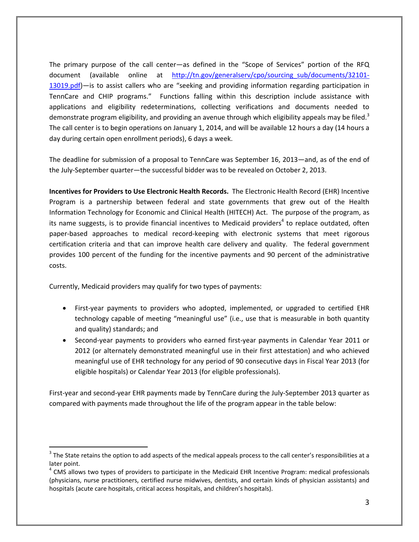The primary purpose of the call center—as defined in the "Scope of Services" portion of the RFQ document (available online at http://tn.gov/generalserv/cpo/sourcing\_sub/documents/32101-13019.pdf)—is to assist callers who are "seeking and providing information regarding participation in TennCare and CHIP programs." Functions falling within this description include assistance with applications and eligibility redeterminations, collecting verifications and documents needed to demonstrate program eligibility, and providing an avenue through which eligibility appeals may be filed.<sup>3</sup> The call center is to begin operations on January 1, 2014, and will be available 12 hours a day (14 hours a day during certain open enrollment periods), 6 days a week.

The deadline for submission of a proposal to TennCare was September 16, 2013—and, as of the end of the July‐September quarter—the successful bidder was to be revealed on October 2, 2013.

**Incentives for Providers to Use Electronic Health Records.** The Electronic Health Record (EHR) Incentive Program is a partnership between federal and state governments that grew out of the Health Information Technology for Economic and Clinical Health (HITECH) Act. The purpose of the program, as its name suggests, is to provide financial incentives to Medicaid providers<sup>4</sup> to replace outdated, often paper-based approaches to medical record-keeping with electronic systems that meet rigorous certification criteria and that can improve health care delivery and quality. The federal government provides 100 percent of the funding for the incentive payments and 90 percent of the administrative costs.

Currently, Medicaid providers may qualify for two types of payments:

- First-year payments to providers who adopted, implemented, or upgraded to certified EHR technology capable of meeting "meaningful use" (i.e., use that is measurable in both quantity and quality) standards; and
- Second-year payments to providers who earned first-year payments in Calendar Year 2011 or 2012 (or alternately demonstrated meaningful use in their first attestation) and who achieved meaningful use of EHR technology for any period of 90 consecutive days in Fiscal Year 2013 (for eligible hospitals) or Calendar Year 2013 (for eligible professionals).

First-year and second-year EHR payments made by TennCare during the July-September 2013 quarter as compared with payments made throughout the life of the program appear in the table below:

 $3$  The State retains the option to add aspects of the medical appeals process to the call center's responsibilities at a later point.<br><sup>4</sup> CMS allows two types of providers to participate in the Medicaid EHR Incentive Program: medical professionals

<sup>(</sup>physicians, nurse practitioners, certified nurse midwives, dentists, and certain kinds of physician assistants) and hospitals (acute care hospitals, critical access hospitals, and children's hospitals).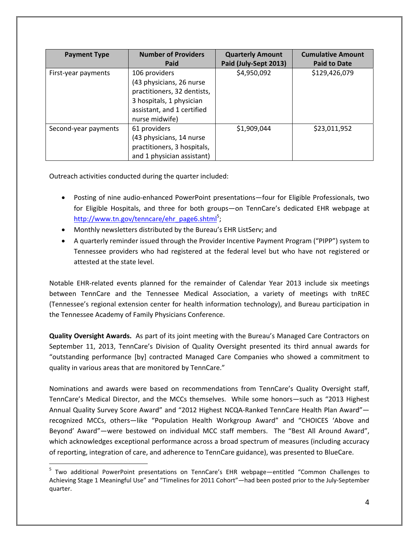| <b>Payment Type</b>  | <b>Number of Providers</b>                                                                                                                           | <b>Quarterly Amount</b> | <b>Cumulative Amount</b> |
|----------------------|------------------------------------------------------------------------------------------------------------------------------------------------------|-------------------------|--------------------------|
|                      | Paid                                                                                                                                                 | Paid (July-Sept 2013)   | <b>Paid to Date</b>      |
| First-year payments  | 106 providers<br>(43 physicians, 26 nurse<br>practitioners, 32 dentists,<br>3 hospitals, 1 physician<br>assistant, and 1 certified<br>nurse midwife) | \$4,950,092             | \$129,426,079            |
| Second-year payments | 61 providers<br>(43 physicians, 14 nurse<br>practitioners, 3 hospitals,<br>and 1 physician assistant)                                                | \$1,909,044             | \$23,011,952             |

Outreach activities conducted during the quarter included:

- Posting of nine audio-enhanced PowerPoint presentations—four for Eligible Professionals, two for Eligible Hospitals, and three for both groups—on TennCare's dedicated EHR webpage at http://www.tn.gov/tenncare/ehr\_page6.shtml<sup>5</sup>;
- Monthly newsletters distributed by the Bureau's EHR ListServ; and
- A quarterly reminder issued through the Provider Incentive Payment Program ("PIPP") system to Tennessee providers who had registered at the federal level but who have not registered or attested at the state level.

Notable EHR‐related events planned for the remainder of Calendar Year 2013 include six meetings between TennCare and the Tennessee Medical Association, a variety of meetings with tnREC (Tennessee's regional extension center for health information technology), and Bureau participation in the Tennessee Academy of Family Physicians Conference.

**Quality Oversight Awards.** As part of its joint meeting with the Bureau's Managed Care Contractors on September 11, 2013, TennCare's Division of Quality Oversight presented its third annual awards for "outstanding performance [by] contracted Managed Care Companies who showed a commitment to quality in various areas that are monitored by TennCare."

Nominations and awards were based on recommendations from TennCare's Quality Oversight staff, TennCare's Medical Director, and the MCCs themselves. While some honors—such as "2013 Highest Annual Quality Survey Score Award" and "2012 Highest NCQA-Ranked TennCare Health Plan Award" recognized MCCs, others—like "Population Health Workgroup Award" and "CHOICES 'Above and Beyond' Award"—were bestowed on individual MCC staff members. The "Best All Around Award", which acknowledges exceptional performance across a broad spectrum of measures (including accuracy of reporting, integration of care, and adherence to TennCare guidance), was presented to BlueCare.

<sup>&</sup>lt;sup>5</sup> Two additional PowerPoint presentations on TennCare's EHR webpage—entitled "Common Challenges to Achieving Stage 1 Meaningful Use" and "Timelines for 2011 Cohort"—had been posted prior to the July‐September quarter.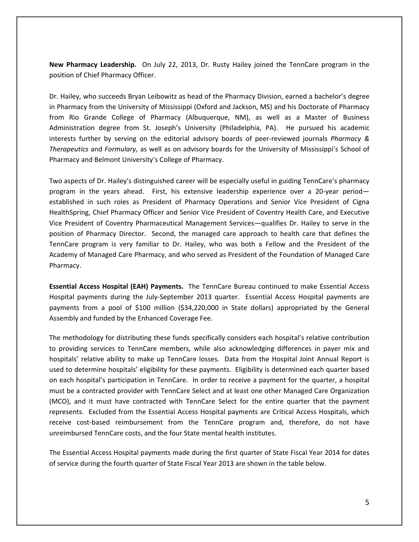**New Pharmacy Leadership.** On July 22, 2013, Dr. Rusty Hailey joined the TennCare program in the position of Chief Pharmacy Officer.

Dr. Hailey, who succeeds Bryan Leibowitz as head of the Pharmacy Division, earned a bachelor's degree in Pharmacy from the University of Mississippi (Oxford and Jackson, MS) and his Doctorate of Pharmacy from Rio Grande College of Pharmacy (Albuquerque, NM), as well as a Master of Business Administration degree from St. Joseph's University (Philadelphia, PA). He pursued his academic interests further by serving on the editorial advisory boards of peer‐reviewed journals *Pharmacy & Therapeutics* and *Formulary*, as well as on advisory boards for the University of Mississippi's School of Pharmacy and Belmont University's College of Pharmacy.

Two aspects of Dr. Hailey's distinguished career will be especially useful in guiding TennCare's pharmacy program in the years ahead. First, his extensive leadership experience over a 20‐year period established in such roles as President of Pharmacy Operations and Senior Vice President of Cigna HealthSpring, Chief Pharmacy Officer and Senior Vice President of Coventry Health Care, and Executive Vice President of Coventry Pharmaceutical Management Services—qualifies Dr. Hailey to serve in the position of Pharmacy Director. Second, the managed care approach to health care that defines the TennCare program is very familiar to Dr. Hailey, who was both a Fellow and the President of the Academy of Managed Care Pharmacy, and who served as President of the Foundation of Managed Care Pharmacy.

**Essential Access Hospital (EAH) Payments.** The TennCare Bureau continued to make Essential Access Hospital payments during the July-September 2013 quarter. Essential Access Hospital payments are payments from a pool of \$100 million (\$34,220,000 in State dollars) appropriated by the General Assembly and funded by the Enhanced Coverage Fee.

The methodology for distributing these funds specifically considers each hospital's relative contribution to providing services to TennCare members, while also acknowledging differences in payer mix and hospitals' relative ability to make up TennCare losses. Data from the Hospital Joint Annual Report is used to determine hospitals' eligibility for these payments. Eligibility is determined each quarter based on each hospital's participation in TennCare. In order to receive a payment for the quarter, a hospital must be a contracted provider with TennCare Select and at least one other Managed Care Organization (MCO), and it must have contracted with TennCare Select for the entire quarter that the payment represents. Excluded from the Essential Access Hospital payments are Critical Access Hospitals, which receive cost-based reimbursement from the TennCare program and, therefore, do not have unreimbursed TennCare costs, and the four State mental health institutes.

The Essential Access Hospital payments made during the first quarter of State Fiscal Year 2014 for dates of service during the fourth quarter of State Fiscal Year 2013 are shown in the table below.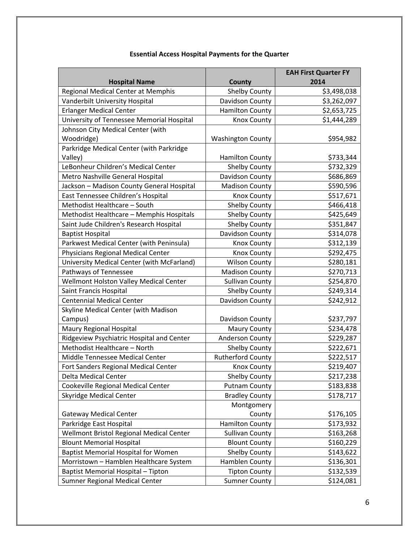|                                            |                          | <b>EAH First Quarter FY</b> |
|--------------------------------------------|--------------------------|-----------------------------|
| <b>Hospital Name</b>                       | County                   | 2014                        |
| Regional Medical Center at Memphis         | <b>Shelby County</b>     | \$3,498,038                 |
| Vanderbilt University Hospital             | Davidson County          | \$3,262,097                 |
| <b>Erlanger Medical Center</b>             | <b>Hamilton County</b>   | \$2,653,725                 |
| University of Tennessee Memorial Hospital  | Knox County              | \$1,444,289                 |
| Johnson City Medical Center (with          |                          |                             |
| Woodridge)                                 | <b>Washington County</b> | \$954,982                   |
| Parkridge Medical Center (with Parkridge   |                          |                             |
| Valley)                                    | <b>Hamilton County</b>   | \$733,344                   |
| LeBonheur Children's Medical Center        | <b>Shelby County</b>     | \$732,329                   |
| Metro Nashville General Hospital           | Davidson County          | \$686,869                   |
| Jackson - Madison County General Hospital  | <b>Madison County</b>    | \$590,596                   |
| East Tennessee Children's Hospital         | <b>Knox County</b>       | \$517,671                   |
| Methodist Healthcare - South               | <b>Shelby County</b>     | \$466,418                   |
| Methodist Healthcare - Memphis Hospitals   | <b>Shelby County</b>     | \$425,649                   |
| Saint Jude Children's Research Hospital    | <b>Shelby County</b>     | \$351,847                   |
| <b>Baptist Hospital</b>                    | Davidson County          | \$314,078                   |
| Parkwest Medical Center (with Peninsula)   | Knox County              | \$312,139                   |
| Physicians Regional Medical Center         | <b>Knox County</b>       | \$292,475                   |
| University Medical Center (with McFarland) | <b>Wilson County</b>     | \$280,181                   |
| Pathways of Tennessee                      | <b>Madison County</b>    | \$270,713                   |
| Wellmont Holston Valley Medical Center     | <b>Sullivan County</b>   | \$254,870                   |
| Saint Francis Hospital                     | <b>Shelby County</b>     | \$249,314                   |
| <b>Centennial Medical Center</b>           | Davidson County          | \$242,912                   |
| Skyline Medical Center (with Madison       |                          |                             |
| Campus)                                    | Davidson County          | \$237,797                   |
| Maury Regional Hospital                    | <b>Maury County</b>      | \$234,478                   |
| Ridgeview Psychiatric Hospital and Center  | <b>Anderson County</b>   | \$229,287                   |
| Methodist Healthcare - North               | <b>Shelby County</b>     | \$222,671                   |
| Middle Tennessee Medical Center            | <b>Rutherford County</b> | \$222,517                   |
| Fort Sanders Regional Medical Center       | <b>Knox County</b>       | \$219,407                   |
| Delta Medical Center                       | Shelby County            | \$217,238                   |
| Cookeville Regional Medical Center         | <b>Putnam County</b>     | \$183,838                   |
| <b>Skyridge Medical Center</b>             | <b>Bradley County</b>    | \$178,717                   |
|                                            | Montgomery               |                             |
| <b>Gateway Medical Center</b>              | County                   | \$176,105                   |
| Parkridge East Hospital                    | <b>Hamilton County</b>   | \$173,932                   |
| Wellmont Bristol Regional Medical Center   | <b>Sullivan County</b>   | \$163,268                   |
| <b>Blount Memorial Hospital</b>            | <b>Blount County</b>     | \$160,229                   |
| <b>Baptist Memorial Hospital for Women</b> | <b>Shelby County</b>     | \$143,622                   |
| Morristown - Hamblen Healthcare System     | Hamblen County           | \$136,301                   |
| Baptist Memorial Hospital - Tipton         | <b>Tipton County</b>     | \$132,539                   |
| Sumner Regional Medical Center             | <b>Sumner County</b>     | \$124,081                   |

## **Essential Access Hospital Payments for the Quarter**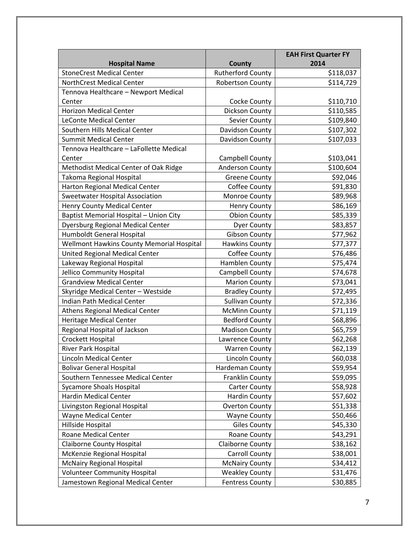|                                           |                          | <b>EAH First Quarter FY</b> |
|-------------------------------------------|--------------------------|-----------------------------|
| <b>Hospital Name</b>                      | <b>County</b>            | 2014                        |
| <b>StoneCrest Medical Center</b>          | <b>Rutherford County</b> | \$118,037                   |
| <b>NorthCrest Medical Center</b>          | <b>Robertson County</b>  | \$114,729                   |
| Tennova Healthcare - Newport Medical      |                          |                             |
| Center                                    | Cocke County             | \$110,710                   |
| <b>Horizon Medical Center</b>             | Dickson County           | \$110,585                   |
| <b>LeConte Medical Center</b>             | Sevier County            | \$109,840                   |
| Southern Hills Medical Center             | Davidson County          | \$107,302                   |
| <b>Summit Medical Center</b>              | Davidson County          | \$107,033                   |
| Tennova Healthcare - LaFollette Medical   |                          |                             |
| Center                                    | Campbell County          | \$103,041                   |
| Methodist Medical Center of Oak Ridge     | Anderson County          | \$100,604                   |
| Takoma Regional Hospital                  | <b>Greene County</b>     | \$92,046                    |
| Harton Regional Medical Center            | Coffee County            | \$91,830                    |
| <b>Sweetwater Hospital Association</b>    | Monroe County            | \$89,968                    |
| Henry County Medical Center               | <b>Henry County</b>      | \$86,169                    |
| Baptist Memorial Hospital - Union City    | <b>Obion County</b>      | \$85,339                    |
| Dyersburg Regional Medical Center         | <b>Dyer County</b>       | \$83,857                    |
| Humboldt General Hospital                 | <b>Gibson County</b>     | \$77,962                    |
| Wellmont Hawkins County Memorial Hospital | <b>Hawkins County</b>    | \$77,377                    |
| United Regional Medical Center            | Coffee County            | \$76,486                    |
| Lakeway Regional Hospital                 | Hamblen County           | \$75,474                    |
| Jellico Community Hospital                | Campbell County          | \$74,678                    |
| <b>Grandview Medical Center</b>           | <b>Marion County</b>     | \$73,041                    |
| Skyridge Medical Center - Westside        | <b>Bradley County</b>    | \$72,495                    |
| Indian Path Medical Center                | <b>Sullivan County</b>   | \$72,336                    |
| Athens Regional Medical Center            | <b>McMinn County</b>     | \$71,119                    |
| <b>Heritage Medical Center</b>            | <b>Bedford County</b>    | \$68,896                    |
| Regional Hospital of Jackson              | <b>Madison County</b>    | \$65,759                    |
| Crockett Hospital                         | Lawrence County          | \$62,268                    |
| River Park Hospital                       | <b>Warren County</b>     | \$62,139                    |
| Lincoln Medical Center                    | Lincoln County           | \$60,038                    |
| <b>Bolivar General Hospital</b>           | Hardeman County          | \$59,954                    |
| Southern Tennessee Medical Center         | Franklin County          | \$59,095                    |
| Sycamore Shoals Hospital                  | <b>Carter County</b>     | \$58,928                    |
| <b>Hardin Medical Center</b>              | Hardin County            | \$57,602                    |
| Livingston Regional Hospital              | <b>Overton County</b>    | \$51,338                    |
| <b>Wayne Medical Center</b>               | <b>Wayne County</b>      | \$50,466                    |
| Hillside Hospital                         | <b>Giles County</b>      | \$45,330                    |
| Roane Medical Center                      | Roane County             | \$43,291                    |
| <b>Claiborne County Hospital</b>          | <b>Claiborne County</b>  | \$38,162                    |
| McKenzie Regional Hospital                | Carroll County           | \$38,001                    |
| <b>McNairy Regional Hospital</b>          | <b>McNairy County</b>    | \$34,412                    |
| <b>Volunteer Community Hospital</b>       | <b>Weakley County</b>    | \$31,476                    |
| Jamestown Regional Medical Center         | <b>Fentress County</b>   | \$30,885                    |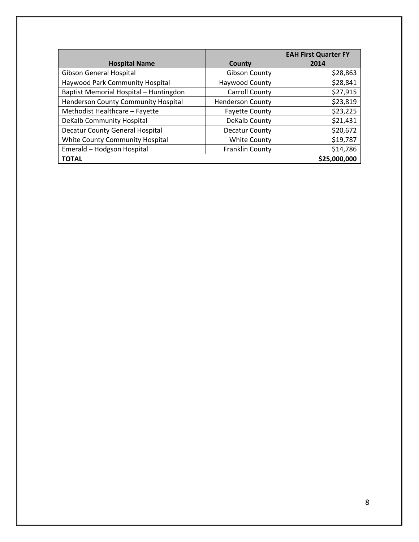|                                            |                         | <b>EAH First Quarter FY</b> |
|--------------------------------------------|-------------------------|-----------------------------|
| <b>Hospital Name</b>                       | County                  | 2014                        |
| Gibson General Hospital                    | <b>Gibson County</b>    | \$28,863                    |
| Haywood Park Community Hospital            | Haywood County          | \$28,841                    |
| Baptist Memorial Hospital - Huntingdon     | <b>Carroll County</b>   | \$27,915                    |
| <b>Henderson County Community Hospital</b> | <b>Henderson County</b> | \$23,819                    |
| Methodist Healthcare - Fayette             | <b>Fayette County</b>   | \$23,225                    |
| DeKalb Community Hospital                  | DeKalb County           | \$21,431                    |
| Decatur County General Hospital            | Decatur County          | \$20,672                    |
| White County Community Hospital            | <b>White County</b>     | \$19,787                    |
| Emerald - Hodgson Hospital                 | Franklin County         | \$14,786                    |
| <b>TOTAL</b>                               |                         | \$25,000,000                |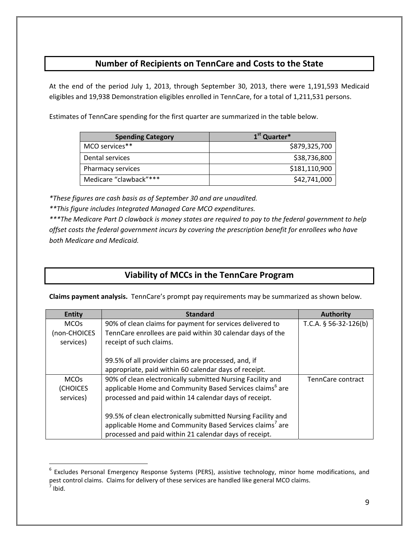## **Number of Recipients on TennCare and Costs to the State**

At the end of the period July 1, 2013, through September 30, 2013, there were 1,191,593 Medicaid eligibles and 19,938 Demonstration eligibles enrolled in TennCare, for a total of 1,211,531 persons.

Estimates of TennCare spending for the first quarter are summarized in the table below.

| <b>Spending Category</b> | 1 <sup>st</sup> Quarter* |
|--------------------------|--------------------------|
| MCO services**           | \$879,325,700            |
| Dental services          | \$38,736,800             |
| Pharmacy services        | \$181,110,900            |
| Medicare "clawback"***   | \$42,741,000             |

*\*These figures are cash basis as of September 30 and are unaudited.*

*\*\*This figure includes Integrated Managed Care MCO expenditures.*

\*\*\* The Medicare Part D clawback is money states are required to pay to the federal government to help *offset costs the federal government incurs by covering the prescription benefit for enrollees who have both Medicare and Medicaid.*

## **Viability of MCCs in the TennCare Program**

**Claims payment analysis.** TennCare's prompt pay requirements may be summarized as shown below.

| <b>Entity</b>          | <b>Standard</b>                                                      | <b>Authority</b>         |
|------------------------|----------------------------------------------------------------------|--------------------------|
| <b>MCOs</b>            | 90% of clean claims for payment for services delivered to            | T.C.A. $§$ 56-32-126(b)  |
| (non-CHOICES           | TennCare enrollees are paid within 30 calendar days of the           |                          |
| services)              | receipt of such claims.                                              |                          |
|                        |                                                                      |                          |
|                        | 99.5% of all provider claims are processed, and, if                  |                          |
|                        | appropriate, paid within 60 calendar days of receipt.                |                          |
| <b>MCO<sub>s</sub></b> | 90% of clean electronically submitted Nursing Facility and           | <b>TennCare contract</b> |
| (CHOICES               | applicable Home and Community Based Services claims <sup>6</sup> are |                          |
| services)              | processed and paid within 14 calendar days of receipt.               |                          |
|                        |                                                                      |                          |
|                        | 99.5% of clean electronically submitted Nursing Facility and         |                          |
|                        | applicable Home and Community Based Services claims <sup>7</sup> are |                          |
|                        | processed and paid within 21 calendar days of receipt.               |                          |

<sup>&</sup>lt;sup>6</sup> Excludes Personal Emergency Response Systems (PERS), assistive technology, minor home modifications, and pest control claims. Claims for delivery of these services are handled like general MCO claims.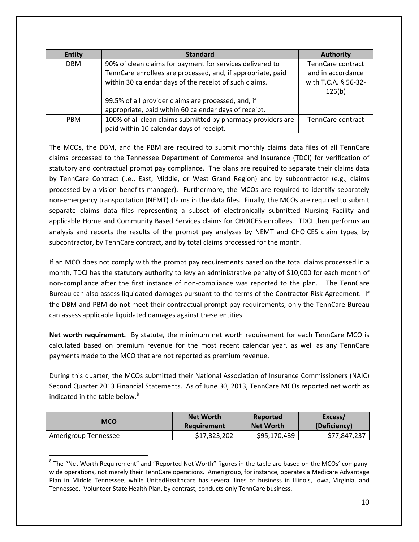| <b>Entity</b> | <b>Standard</b>                                              | <b>Authority</b>     |
|---------------|--------------------------------------------------------------|----------------------|
| <b>DBM</b>    | 90% of clean claims for payment for services delivered to    | TennCare contract    |
|               | TennCare enrollees are processed, and, if appropriate, paid  | and in accordance    |
|               | within 30 calendar days of the receipt of such claims.       | with T.C.A. § 56-32- |
|               |                                                              | 126(b)               |
|               | 99.5% of all provider claims are processed, and, if          |                      |
|               | appropriate, paid within 60 calendar days of receipt.        |                      |
| <b>PBM</b>    | 100% of all clean claims submitted by pharmacy providers are | TennCare contract    |
|               | paid within 10 calendar days of receipt.                     |                      |

The MCOs, the DBM, and the PBM are required to submit monthly claims data files of all TennCare claims processed to the Tennessee Department of Commerce and Insurance (TDCI) for verification of statutory and contractual prompt pay compliance. The plans are required to separate their claims data by TennCare Contract (i.e., East, Middle, or West Grand Region) and by subcontractor (e.g., claims processed by a vision benefits manager). Furthermore, the MCOs are required to identify separately non-emergency transportation (NEMT) claims in the data files. Finally, the MCOs are required to submit separate claims data files representing a subset of electronically submitted Nursing Facility and applicable Home and Community Based Services claims for CHOICES enrollees. TDCI then performs an analysis and reports the results of the prompt pay analyses by NEMT and CHOICES claim types, by subcontractor, by TennCare contract, and by total claims processed for the month.

If an MCO does not comply with the prompt pay requirements based on the total claims processed in a month, TDCI has the statutory authority to levy an administrative penalty of \$10,000 for each month of non-compliance after the first instance of non-compliance was reported to the plan. The TennCare Bureau can also assess liquidated damages pursuant to the terms of the Contractor Risk Agreement. If the DBM and PBM do not meet their contractual prompt pay requirements, only the TennCare Bureau can assess applicable liquidated damages against these entities.

**Net worth requirement.** By statute, the minimum net worth requirement for each TennCare MCO is calculated based on premium revenue for the most recent calendar year, as well as any TennCare payments made to the MCO that are not reported as premium revenue.

During this quarter, the MCOs submitted their National Association of Insurance Commissioners (NAIC) Second Quarter 2013 Financial Statements. As of June 30, 2013, TennCare MCOs reported net worth as indicated in the table below.<sup>8</sup>

| MCO                  | <b>Net Worth</b> | Reported         | Excess/      |
|----------------------|------------------|------------------|--------------|
|                      | Requirement      | <b>Net Worth</b> | (Deficiency) |
| Amerigroup Tennessee | \$17,323,202     | \$95,170,439     | \$77,847,237 |

<sup>&</sup>lt;sup>8</sup> The "Net Worth Requirement" and "Reported Net Worth" figures in the table are based on the MCOs' companywide operations, not merely their TennCare operations. Amerigroup, for instance, operates a Medicare Advantage Plan in Middle Tennessee, while UnitedHealthcare has several lines of business in Illinois, Iowa, Virginia, and Tennessee. Volunteer State Health Plan, by contrast, conducts only TennCare business.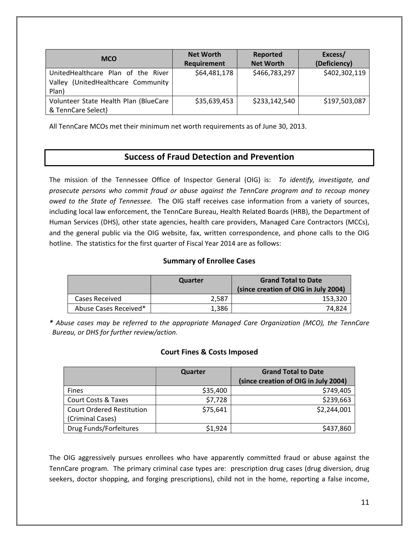| <b>MCO</b>                            | <b>Net Worth</b><br>Requirement | Reported<br><b>Net Worth</b> | Excess/<br>(Deficiency) |
|---------------------------------------|---------------------------------|------------------------------|-------------------------|
|                                       |                                 |                              |                         |
| UnitedHealthcare Plan of the River    | \$64,481,178                    | \$466,783,297                | \$402,302,119           |
| Valley (UnitedHealthcare Community    |                                 |                              |                         |
| Plan)                                 |                                 |                              |                         |
| Volunteer State Health Plan (BlueCare | \$35,639,453                    | \$233,142,540                | \$197,503,087           |
| & TennCare Select)                    |                                 |                              |                         |

All TennCare MCOs met their minimum net worth requirements as of June 30, 2013.

## **Success of Fraud Detection and Prevention**

The mission of the Tennessee Office of Inspector General (OIG) is: *To identify, investigate, and prosecute persons who commit fraud or abuse against the TennCare program and to recoup money owed to the State of Tennessee.*  The OIG staff receives case information from a variety of sources, including local law enforcement, the TennCare Bureau, Health Related Boards (HRB), the Department of Human Services (DHS), other state agencies, health care providers, Managed Care Contractors (MCCs), and the general public via the OIG website, fax, written correspondence, and phone calls to the OIG hotline. The statistics for the first quarter of Fiscal Year 2014 are as follows:

#### **Summary of Enrollee Cases**

|                       | Quarter | <b>Grand Total to Date</b><br>(since creation of OIG in July 2004) |
|-----------------------|---------|--------------------------------------------------------------------|
| Cases Received        | 2.587   | 153.320                                                            |
| Abuse Cases Received* | 1.386   | 74.824                                                             |

*\* Abuse cases may be referred to the appropriate Managed Care Organization (MCO), the TennCare Bureau, or DHS for further review/action.*

#### **Court Fines & Costs Imposed**

|                                  | Quarter  | <b>Grand Total to Date</b><br>(since creation of OIG in July 2004) |
|----------------------------------|----------|--------------------------------------------------------------------|
| <b>Fines</b>                     | \$35,400 | \$749,405                                                          |
| <b>Court Costs &amp; Taxes</b>   | \$7,728  | \$239,663                                                          |
| <b>Court Ordered Restitution</b> | \$75,641 | \$2,244,001                                                        |
| (Criminal Cases)                 |          |                                                                    |
| Drug Funds/Forfeitures           | \$1,924  | \$437,860                                                          |

The OIG aggressively pursues enrollees who have apparently committed fraud or abuse against the TennCare program. The primary criminal case types are: prescription drug cases (drug diversion, drug seekers, doctor shopping, and forging prescriptions), child not in the home, reporting a false income,